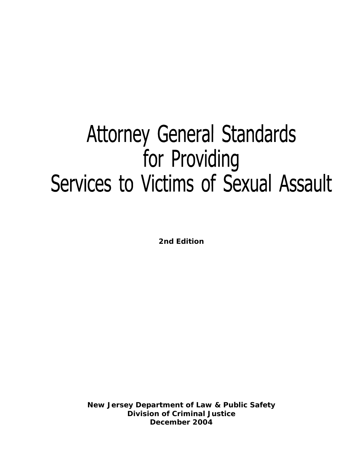# **Attorney General Standards** for Providing Services to Victims of Sexual Assault

**2nd Edition**

**New Jersey Department of Law & Public Safety Division of Criminal Justice December 2004**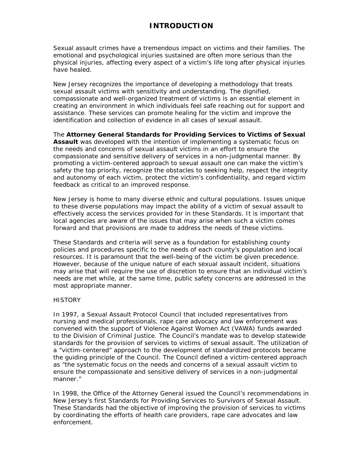## **INTRODUCTION**

Sexual assault crimes have a tremendous impact on victims and their families. The emotional and psychological injuries sustained are often more serious than the physical injuries, affecting every aspect of a victim's life long after physical injuries have healed.

New Jersey recognizes the importance of developing a methodology that treats sexual assault victims with sensitivity and understanding. The dignified, compassionate and well-organized treatment of victims is an essential element in creating an environment in which individuals feel safe reaching out for support and assistance. These services can promote healing for the victim and improve the identification and collection of evidence in all cases of sexual assault.

The *Attorney General Standards for Providing Services to Victims of Sexual Assault* was developed with the intention of implementing a systematic focus on the needs and concerns of sexual assault victims in an effort to ensure the compassionate and sensitive delivery of services in a non-judgmental manner. By promoting a victim-centered approach to sexual assault one can make the victim's safety the top priority, recognize the obstacles to seeking help, respect the integrity and autonomy of each victim, protect the victim's confidentiality, and regard victim feedback as critical to an improved response.

New Jersey is home to many diverse ethnic and cultural populations. Issues unique to these diverse populations may impact the ability of a victim of sexual assault to effectively access the services provided for in these Standards. It is important that local agencies are aware of the issues that may arise when such a victim comes forward and that provisions are made to address the needs of these victims.

These Standards and criteria will serve as a foundation for establishing county policies and procedures specific to the needs of each county's population and local resources. It is paramount that the well-being of the victim be given precedence. However, because of the unique nature of each sexual assault incident, situations may arise that will require the use of discretion to ensure that an individual victim's needs are met while, at the same time, public safety concerns are addressed in the most appropriate manner.

#### **HISTORY**

In 1997, a Sexual Assault Protocol Council that included representatives from nursing and medical professionals, rape care advocacy and law enforcement was convened with the support of Violence Against Women Act (VAWA) funds awarded to the Division of Criminal Justice. The Council's mandate was to develop statewide standards for the provision of services to victims of sexual assault. The utilization of a "victim-centered" approach to the development of standardized protocols became the guiding principle of the Council. The Council defined a victim-centered approach as "the systematic focus on the needs and concerns of a sexual assault victim to ensure the compassionate and sensitive delivery of services in a non-judgmental manner."

In 1998, the Office of the Attorney General issued the Council's recommendations in New Jersey's first *Standards for Providing Services to Survivors of Sexual Assault.* These Standards had the objective of improving the provision of services to victims by coordinating the efforts of health care providers, rape care advocates and law enforcement.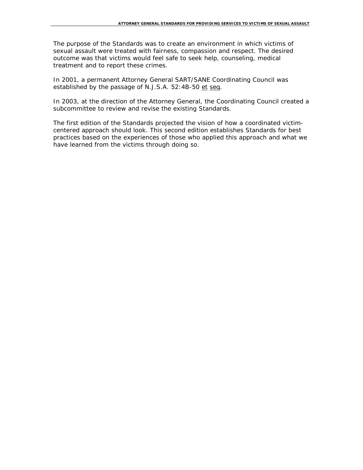The purpose of the Standards was to create an environment in which victims of sexual assault were treated with fairness, compassion and respect. The desired outcome was that victims would feel safe to seek help, counseling, medical treatment and to report these crimes.

In 2001, a permanent Attorney General SART/SANE Coordinating Council was established by the passage of N.J.S.A. 52:4B-50 et seq.

In 2003, at the direction of the Attorney General, the Coordinating Council created a subcommittee to review and revise the existing Standards.

The first edition of the Standards projected the vision of how a coordinated victimcentered approach should look. This second edition establishes Standards for best practices based on the experiences of those who applied this approach and what we have learned from the victims through doing so.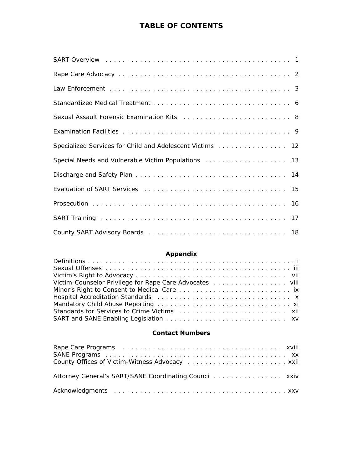# **TABLE OF CONTENTS**

| Specialized Services for Child and Adolescent Victims 12 |
|----------------------------------------------------------|
| Special Needs and Vulnerable Victim Populations 13       |
|                                                          |
|                                                          |
|                                                          |
|                                                          |
|                                                          |

# **Appendix**

#### **Contact Numbers**

| Attorney General's SART/SANE Coordinating Council xxiv |  |
|--------------------------------------------------------|--|
|                                                        |  |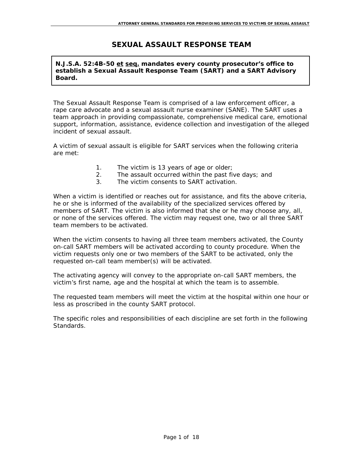## **SEXUAL ASSAULT RESPONSE TEAM**

#### **N.J.S.A. 52:4B-50 et seq. mandates every county prosecutor's office to establish a Sexual Assault Response Team (SART) and a SART Advisory Board.**

The Sexual Assault Response Team is comprised of a law enforcement officer, a rape care advocate and a sexual assault nurse examiner (SANE). The SART uses a team approach in providing compassionate, comprehensive medical care, emotional support, information, assistance, evidence collection and investigation of the alleged incident of sexual assault.

A victim of sexual assault is eligible for SART services when the following criteria are met:

- 1. The victim is 13 years of age or older;
- 2. The assault occurred within the past five days; and
- 3. The victim consents to SART activation.

When a victim is identified or reaches out for assistance, and fits the above criteria, he or she is informed of the availability of the specialized services offered by members of SART. The victim is also informed that she or he may choose any, all, or none of the services offered. The victim may request one, two or all three SART team members to be activated.

When the victim consents to having all three team members activated, the County on-call SART members will be activated according to county procedure. When the victim requests only one or two members of the SART to be activated, only the requested on-call team member(s) will be activated.

The activating agency will convey to the appropriate on-call SART members, the victim's first name, age and the hospital at which the team is to assemble.

The requested team members will meet the victim at the hospital within one hour or less as proscribed in the county SART protocol.

The specific roles and responsibilities of each discipline are set forth in the following Standards.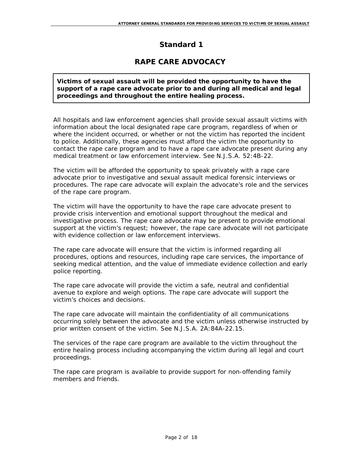# **RAPE CARE ADVOCACY**

#### **Victims of sexual assault will be provided the opportunity to have the support of a rape care advocate prior to and during all medical and legal proceedings and throughout the entire healing process.**

All hospitals and law enforcement agencies shall provide sexual assault victims with information about the local designated rape care program, regardless of when or where the incident occurred, or whether or not the victim has reported the incident to police. Additionally, these agencies must afford the victim the opportunity to contact the rape care program and to have a rape care advocate present during any medical treatment or law enforcement interview. See N.J.S.A. 52:4B-22.

The victim will be afforded the opportunity to speak privately with a rape care advocate prior to investigative and sexual assault medical forensic interviews or procedures. The rape care advocate will explain the advocate's role and the services of the rape care program.

The victim will have the opportunity to have the rape care advocate present to provide crisis intervention and emotional support throughout the medical and investigative process. The rape care advocate may be present to provide emotional support at the victim's request; however, the rape care advocate will not participate with evidence collection or law enforcement interviews.

The rape care advocate will ensure that the victim is informed regarding all procedures, options and resources, including rape care services, the importance of seeking medical attention, and the value of immediate evidence collection and early police reporting.

The rape care advocate will provide the victim a safe, neutral and confidential avenue to explore and weigh options. The rape care advocate will support the victim's choices and decisions.

The rape care advocate will maintain the confidentiality of all communications occurring solely between the advocate and the victim unless otherwise instructed by prior written consent of the victim. See N.J.S.A. 2A:84A-22.15.

The services of the rape care program are available to the victim throughout the entire healing process including accompanying the victim during all legal and court proceedings.

The rape care program is available to provide support for non-offending family members and friends.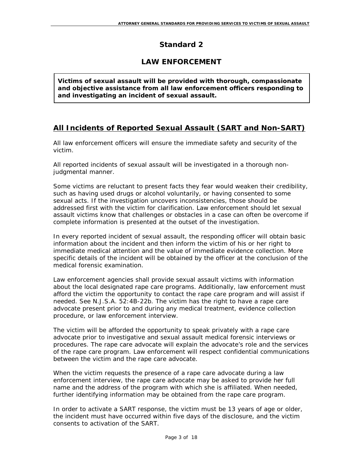# **LAW ENFORCEMENT**

**Victims of sexual assault will be provided with thorough, compassionate and objective assistance from all law enforcement officers responding to and investigating an incident of sexual assault.** 

# **All Incidents of Reported Sexual Assault (SART and Non-SART)**

All law enforcement officers will ensure the immediate safety and security of the victim.

All reported incidents of sexual assault will be investigated in a thorough nonjudgmental manner.

Some victims are reluctant to present facts they fear would weaken their credibility, such as having used drugs or alcohol voluntarily, or having consented to some sexual acts. If the investigation uncovers inconsistencies, those should be addressed first with the victim for clarification. Law enforcement should let sexual assault victims know that challenges or obstacles in a case can often be overcome if complete information is presented at the outset of the investigation.

In every reported incident of sexual assault, the responding officer will obtain basic information about the incident and then inform the victim of his or her right to immediate medical attention and the value of immediate evidence collection. More specific details of the incident will be obtained by the officer at the conclusion of the medical forensic examination.

Law enforcement agencies shall provide sexual assault victims with information about the local designated rape care programs. Additionally, law enforcement must afford the victim the opportunity to contact the rape care program and will assist if needed. See N.J.S.A. 52:4B-22b. The victim has the right to have a rape care advocate present prior to and during any medical treatment, evidence collection procedure, or law enforcement interview.

The victim will be afforded the opportunity to speak privately with a rape care advocate prior to investigative and sexual assault medical forensic interviews or procedures. The rape care advocate will explain the advocate's role and the services of the rape care program. Law enforcement will respect confidential communications between the victim and the rape care advocate.

When the victim requests the presence of a rape care advocate during a law enforcement interview, the rape care advocate may be asked to provide her full name and the address of the program with which she is affiliated. When needed, further identifying information may be obtained from the rape care program.

In order to activate a SART response, the victim must be 13 years of age or older, the incident must have occurred within five days of the disclosure, and the victim consents to activation of the SART.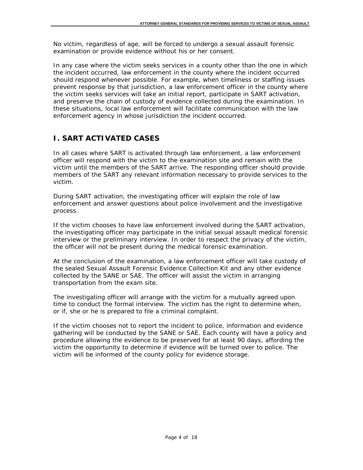No victim, regardless of age, will be forced to undergo a sexual assault forensic examination or provide evidence without his or her consent.

In any case where the victim seeks services in a county other than the one in which the incident occurred, law enforcement in the county where the incident occurred should respond whenever possible. For example, when timeliness or staffing issues prevent response by that jurisdiction, a law enforcement officer in the county where the victim seeks services will take an initial report, participate in SART activation, and preserve the chain of custody of evidence collected during the examination. In these situations, local law enforcement will facilitate communication with the law enforcement agency in whose jurisdiction the incident occurred.

# **I. SART ACTIVATED CASES**

In all cases where SART is activated through law enforcement, a law enforcement officer will respond with the victim to the examination site and remain with the victim until the members of the SART arrive. The responding officer should provide members of the SART any relevant information necessary to provide services to the victim.

During SART activation, the investigating officer will explain the role of law enforcement and answer questions about police involvement and the investigative process.

If the victim chooses to have law enforcement involved during the SART activation, the investigating officer may participate in the initial sexual assault medical forensic interview or the preliminary interview. In order to respect the privacy of the victim, the officer will not be present during the medical forensic examination.

At the conclusion of the examination, a law enforcement officer will take custody of the sealed Sexual Assault Forensic Evidence Collection Kit and any other evidence collected by the SANE or SAE. The officer will assist the victim in arranging transportation from the exam site.

The investigating officer will arrange with the victim for a mutually agreed upon time to conduct the formal interview. The victim has the right to determine when, or if, she or he is prepared to file a criminal complaint.

If the victim chooses not to report the incident to police, information and evidence gathering will be conducted by the SANE or SAE. Each county will have a policy and procedure allowing the evidence to be preserved for at least 90 days, affording the victim the opportunity to determine if evidence will be turned over to police. The victim will be informed of the county policy for evidence storage.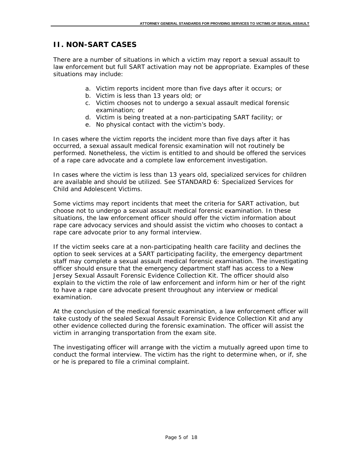## **II. NON-SART CASES**

There are a number of situations in which a victim may report a sexual assault to law enforcement but full SART activation may not be appropriate. Examples of these situations may include:

- a. Victim reports incident more than five days after it occurs; or
- b. Victim is less than 13 years old; or
- c. Victim chooses not to undergo a sexual assault medical forensic examination; or
- d. Victim is being treated at a non-participating SART facility; or
- e. No physical contact with the victim's body.

In cases where the victim reports the incident more than five days after it has occurred, a sexual assault medical forensic examination will not routinely be performed. Nonetheless, the victim is entitled to and should be offered the services of a rape care advocate and a complete law enforcement investigation.

In cases where the victim is less than 13 years old, specialized services for children are available and should be utilized. See STANDARD 6: Specialized Services for Child and Adolescent Victims.

Some victims may report incidents that meet the criteria for SART activation, but choose not to undergo a sexual assault medical forensic examination. In these situations, the law enforcement officer should offer the victim information about rape care advocacy services and should assist the victim who chooses to contact a rape care advocate prior to any formal interview.

If the victim seeks care at a non-participating health care facility and declines the option to seek services at a SART participating facility, the emergency department staff may complete a sexual assault medical forensic examination. The investigating officer should ensure that the emergency department staff has access to a New Jersey Sexual Assault Forensic Evidence Collection Kit. The officer should also explain to the victim the role of law enforcement and inform him or her of the right to have a rape care advocate present throughout any interview or medical examination.

At the conclusion of the medical forensic examination, a law enforcement officer will take custody of the sealed Sexual Assault Forensic Evidence Collection Kit and any other evidence collected during the forensic examination. The officer will assist the victim in arranging transportation from the exam site.

The investigating officer will arrange with the victim a mutually agreed upon time to conduct the formal interview. The victim has the right to determine when, or if, she or he is prepared to file a criminal complaint.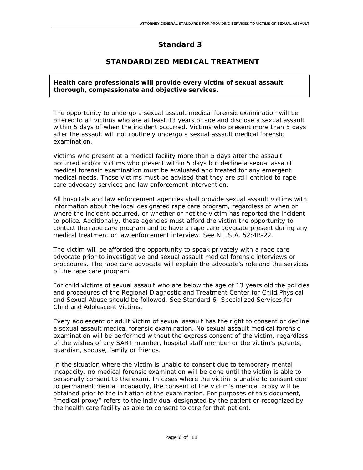# **STANDARDIZED MEDICAL TREATMENT**

**Health care professionals will provide every victim of sexual assault thorough, compassionate and objective services.** 

The opportunity to undergo a sexual assault medical forensic examination will be offered to all victims who are at least 13 years of age and disclose a sexual assault within 5 days of when the incident occurred. Victims who present more than 5 days after the assault will not routinely undergo a sexual assault medical forensic examination.

Victims who present at a medical facility more than 5 days after the assault occurred and/or victims who present within 5 days but decline a sexual assault medical forensic examination must be evaluated and treated for any emergent medical needs. These victims must be advised that they are still entitled to rape care advocacy services and law enforcement intervention.

All hospitals and law enforcement agencies shall provide sexual assault victims with information about the local designated rape care program, regardless of when or where the incident occurred, or whether or not the victim has reported the incident to police. Additionally, these agencies must afford the victim the opportunity to contact the rape care program and to have a rape care advocate present during any medical treatment or law enforcement interview. See N.J.S.A. 52:4B-22.

The victim will be afforded the opportunity to speak privately with a rape care advocate prior to investigative and sexual assault medical forensic interviews or procedures. The rape care advocate will explain the advocate's role and the services of the rape care program.

For child victims of sexual assault who are below the age of 13 years old the policies and procedures of the Regional Diagnostic and Treatment Center for Child Physical and Sexual Abuse should be followed. See Standard 6: Specialized Services for Child and Adolescent Victims.

Every adolescent or adult victim of sexual assault has the right to consent or decline a sexual assault medical forensic examination. No sexual assault medical forensic examination will be performed without the express consent of the victim, regardless of the wishes of any SART member, hospital staff member or the victim's parents, guardian, spouse, family or friends.

In the situation where the victim is unable to consent due to temporary mental incapacity, no medical forensic examination will be done until the victim is able to personally consent to the exam. In cases where the victim is unable to consent due to permanent mental incapacity, the consent of the victim's medical proxy will be obtained prior to the initiation of the examination. For purposes of this document, "medical proxy" refers to the individual designated by the patient or recognized by the health care facility as able to consent to care for that patient.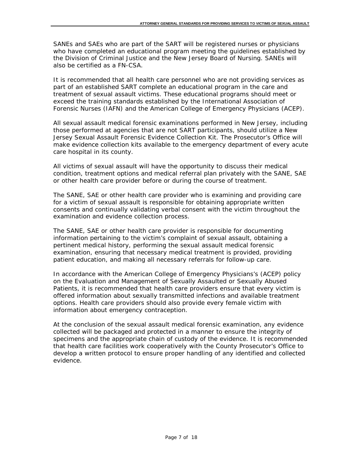SANEs and SAEs who are part of the SART will be registered nurses or physicians who have completed an educational program meeting the guidelines established by the Division of Criminal Justice and the New Jersey Board of Nursing. SANEs will also be certified as a FN-CSA.

It is recommended that all health care personnel who are not providing services as part of an established SART complete an educational program in the care and treatment of sexual assault victims. These educational programs should meet or exceed the training standards established by the International Association of Forensic Nurses (IAFN) and the American College of Emergency Physicians (ACEP).

All sexual assault medical forensic examinations performed in New Jersey, including those performed at agencies that are not SART participants, should utilize a New Jersey Sexual Assault Forensic Evidence Collection Kit. The Prosecutor's Office will make evidence collection kits available to the emergency department of every acute care hospital in its county.

All victims of sexual assault will have the opportunity to discuss their medical condition, treatment options and medical referral plan privately with the SANE, SAE or other health care provider before or during the course of treatment.

The SANE, SAE or other health care provider who is examining and providing care for a victim of sexual assault is responsible for obtaining appropriate written consents and continually validating verbal consent with the victim throughout the examination and evidence collection process.

The SANE, SAE or other health care provider is responsible for documenting information pertaining to the victim's complaint of sexual assault, obtaining a pertinent medical history, performing the sexual assault medical forensic examination, ensuring that necessary medical treatment is provided, providing patient education, and making all necessary referrals for follow-up care.

In accordance with the American College of Emergency Physicians's (ACEP) policy on the Evaluation and Management of Sexually Assaulted or Sexually Abused Patients, it is recommended that health care providers ensure that every victim is offered information about sexually transmitted infections and available treatment options. Health care providers should also provide every female victim with information about emergency contraception.

At the conclusion of the sexual assault medical forensic examination, any evidence collected will be packaged and protected in a manner to ensure the integrity of specimens and the appropriate chain of custody of the evidence. It is recommended that health care facilities work cooperatively with the County Prosecutor's Office to develop a written protocol to ensure proper handling of any identified and collected evidence.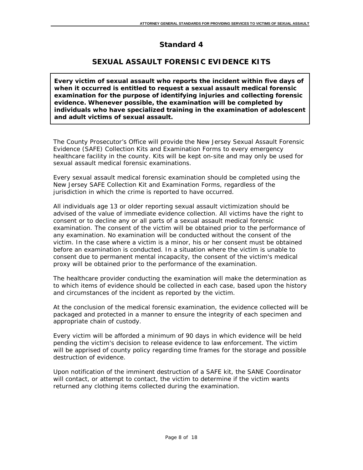# **SEXUAL ASSAULT FORENSIC EVIDENCE KITS**

**Every victim of sexual assault who reports the incident within five days of when it occurred is entitled to request a sexual assault medical forensic examination for the purpose of identifying injuries and collecting forensic evidence. Whenever possible, the examination will be completed by individuals who have specialized training in the examination of adolescent and adult victims of sexual assault.**

The County Prosecutor's Office will provide the New Jersey Sexual Assault Forensic Evidence (SAFE) Collection Kits and Examination Forms to every emergency healthcare facility in the county. Kits will be kept on-site and may only be used for sexual assault medical forensic examinations.

Every sexual assault medical forensic examination should be completed using the New Jersey SAFE Collection Kit and Examination Forms, regardless of the jurisdiction in which the crime is reported to have occurred.

All individuals age 13 or older reporting sexual assault victimization should be advised of the value of immediate evidence collection. All victims have the right to consent or to decline any or all parts of a sexual assault medical forensic examination. The consent of the victim will be obtained prior to the performance of any examination. No examination will be conducted without the consent of the victim. In the case where a victim is a minor, his or her consent must be obtained before an examination is conducted. In a situation where the victim is unable to consent due to permanent mental incapacity, the consent of the victim's medical proxy will be obtained prior to the performance of the examination.

The healthcare provider conducting the examination will make the determination as to which items of evidence should be collected in each case, based upon the history and circumstances of the incident as reported by the victim.

At the conclusion of the medical forensic examination, the evidence collected will be packaged and protected in a manner to ensure the integrity of each specimen and appropriate chain of custody.

Every victim will be afforded a minimum of 90 days in which evidence will be held pending the victim's decision to release evidence to law enforcement. The victim will be apprised of county policy regarding time frames for the storage and possible destruction of evidence.

Upon notification of the imminent destruction of a SAFE kit, the SANE Coordinator will contact, or attempt to contact, the victim to determine if the victim wants returned any clothing items collected during the examination.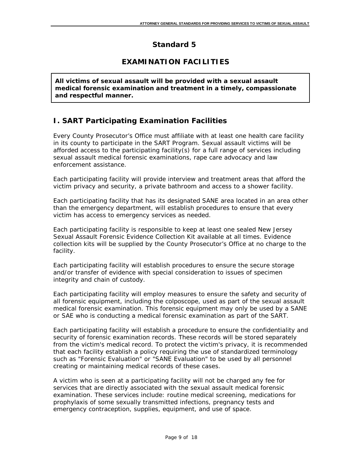# **EXAMINATION FACILITIES**

**All victims of sexual assault will be provided with a sexual assault medical forensic examination and treatment in a timely, compassionate and respectful manner.**

# **I. SART Participating Examination Facilities**

Every County Prosecutor's Office must affiliate with at least one health care facility in its county to participate in the SART Program. Sexual assault victims will be afforded access to the participating facility(s) for a full range of services including sexual assault medical forensic examinations, rape care advocacy and law enforcement assistance.

Each participating facility will provide interview and treatment areas that afford the victim privacy and security, a private bathroom and access to a shower facility.

Each participating facility that has its designated SANE area located in an area other than the emergency department, will establish procedures to ensure that every victim has access to emergency services as needed.

Each participating facility is responsible to keep at least one sealed New Jersey Sexual Assault Forensic Evidence Collection Kit available at all times. Evidence collection kits will be supplied by the County Prosecutor's Office at no charge to the facility.

Each participating facility will establish procedures to ensure the secure storage and/or transfer of evidence with special consideration to issues of specimen integrity and chain of custody.

Each participating facility will employ measures to ensure the safety and security of all forensic equipment, including the colposcope, used as part of the sexual assault medical forensic examination. This forensic equipment may only be used by a SANE or SAE who is conducting a medical forensic examination as part of the SART.

Each participating facility will establish a procedure to ensure the confidentiality and security of forensic examination records. These records will be stored separately from the victim's medical record. To protect the victim's privacy, it is recommended that each facility establish a policy requiring the use of standardized terminology such as "Forensic Evaluation" or "SANE Evaluation" to be used by all personnel creating or maintaining medical records of these cases.

A victim who is seen at a participating facility will not be charged any fee for services that are directly associated with the sexual assault medical forensic examination. These services include: routine medical screening, medications for prophylaxis of some sexually transmitted infections, pregnancy tests and emergency contraception, supplies, equipment, and use of space.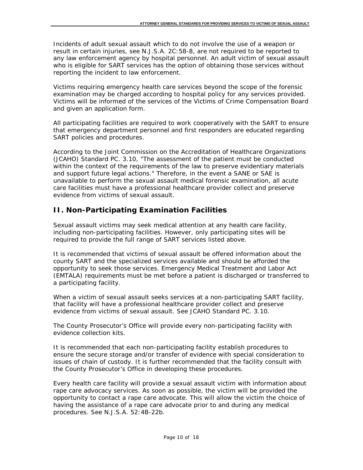Incidents of adult sexual assault which to do not involve the use of a weapon or result in certain injuries, see N.J.S.A. 2C:58-8, are not required to be reported to any law enforcement agency by hospital personnel. An adult victim of sexual assault who is eligible for SART services has the option of obtaining those services without reporting the incident to law enforcement.

Victims requiring emergency health care services beyond the scope of the forensic examination may be charged according to hospital policy for any services provided. Victims will be informed of the services of the Victims of Crime Compensation Board and given an application form.

All participating facilities are required to work cooperatively with the SART to ensure that emergency department personnel and first responders are educated regarding SART policies and procedures.

According to the Joint Commission on the Accreditation of Healthcare Organizations (JCAHO) Standard PC. 3.10, "The assessment of the patient must be conducted within the context of the requirements of the law to preserve evidentiary materials and support future legal actions." Therefore, in the event a SANE or SAE is unavailable to perform the sexual assault medical forensic examination, all acute care facilities must have a professional healthcare provider collect and preserve evidence from victims of sexual assault.

# **II. Non-Participating Examination Facilities**

Sexual assault victims may seek medical attention at any health care facility, including non-participating facilities. However, only participating sites will be required to provide the full range of SART services listed above.

It is recommended that victims of sexual assault be offered information about the county SART and the specialized services available and should be afforded the opportunity to seek those services. Emergency Medical Treatment and Labor Act (EMTALA) requirements must be met before a patient is discharged or transferred to a participating facility.

When a victim of sexual assault seeks services at a non-participating SART facility, that facility will have a professional healthcare provider collect and preserve evidence from victims of sexual assault. See JCAHO Standard PC. 3.10.

The County Prosecutor's Office will provide every non-participating facility with evidence collection kits.

It is recommended that each non-participating facility establish procedures to ensure the secure storage and/or transfer of evidence with special consideration to issues of chain of custody. It is further recommended that the facility consult with the County Prosecutor's Office in developing these procedures.

Every health care facility will provide a sexual assault victim with information about rape care advocacy services. As soon as possible, the victim will be provided the opportunity to contact a rape care advocate. This will allow the victim the choice of having the assistance of a rape care advocate prior to and during any medical procedures. See N.J.S.A. 52:4B-22b.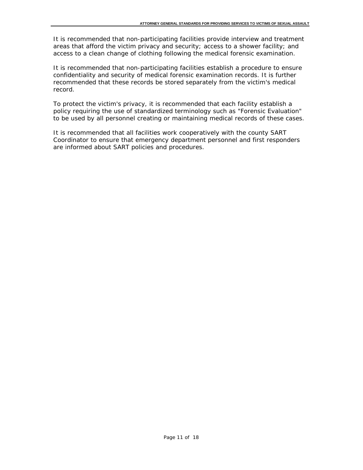It is recommended that non-participating facilities provide interview and treatment areas that afford the victim privacy and security; access to a shower facility; and access to a clean change of clothing following the medical forensic examination.

It is recommended that non-participating facilities establish a procedure to ensure confidentiality and security of medical forensic examination records. It is further recommended that these records be stored separately from the victim's medical record.

To protect the victim's privacy, it is recommended that each facility establish a policy requiring the use of standardized terminology such as "Forensic Evaluation" to be used by all personnel creating or maintaining medical records of these cases.

It is recommended that all facilities work cooperatively with the county SART Coordinator to ensure that emergency department personnel and first responders are informed about SART policies and procedures.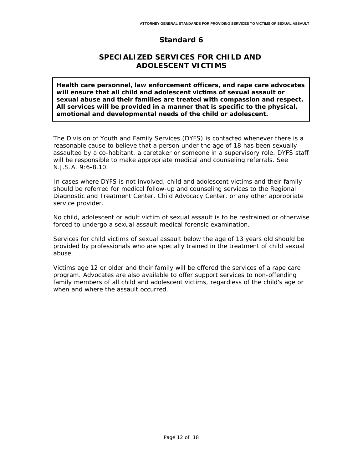## **SPECIALIZED SERVICES FOR CHILD AND ADOLESCENT VICTIMS**

**Health care personnel, law enforcement officers, and rape care advocates will ensure that all child and adolescent victims of sexual assault or sexual abuse and their families are treated with compassion and respect. All services will be provided in a manner that is specific to the physical, emotional and developmental needs of the child or adolescent.**

The Division of Youth and Family Services (DYFS) is contacted whenever there is a reasonable cause to believe that a person under the age of 18 has been sexually assaulted by a co-habitant, a caretaker or someone in a supervisory role. DYFS staff will be responsible to make appropriate medical and counseling referrals. See N.J.S.A. 9:6-8.10.

In cases where DYFS is not involved, child and adolescent victims and their family should be referred for medical follow-up and counseling services to the Regional Diagnostic and Treatment Center, Child Advocacy Center, or any other appropriate service provider.

No child, adolescent or adult victim of sexual assault is to be restrained or otherwise forced to undergo a sexual assault medical forensic examination.

Services for child victims of sexual assault below the age of 13 years old should be provided by professionals who are specially trained in the treatment of child sexual abuse.

Victims age 12 or older and their family will be offered the services of a rape care program. Advocates are also available to offer support services to non-offending family members of all child and adolescent victims, regardless of the child's age or when and where the assault occurred.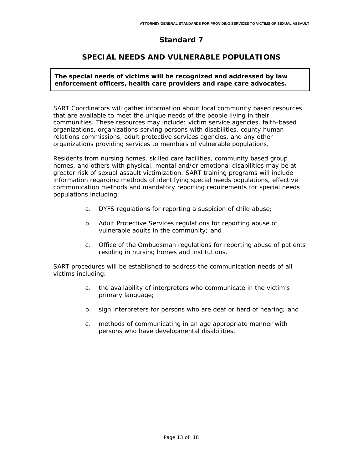## **SPECIAL NEEDS AND VULNERABLE POPULATIONS**

**The special needs of victims will be recognized and addressed by law enforcement officers, health care providers and rape care advocates.**

SART Coordinators will gather information about local community based resources that are available to meet the unique needs of the people living in their communities. These resources may include: victim service agencies, faith-based organizations, organizations serving persons with disabilities, county human relations commissions, adult protective services agencies, and any other organizations providing services to members of vulnerable populations.

Residents from nursing homes, skilled care facilities, community based group homes, and others with physical, mental and/or emotional disabilities may be at greater risk of sexual assault victimization. SART training programs will include information regarding methods of identifying special needs populations, effective communication methods and mandatory reporting requirements for special needs populations including:

- a. DYFS regulations for reporting a suspicion of child abuse;
- b. Adult Protective Services regulations for reporting abuse of vulnerable adults in the community; and
- c. Office of the Ombudsman regulations for reporting abuse of patients residing in nursing homes and institutions.

SART procedures will be established to address the communication needs of all victims including:

- a. the availability of interpreters who communicate in the victim's primary language;
- b. sign interpreters for persons who are deaf or hard of hearing; and
- c. methods of communicating in an age appropriate manner with persons who have developmental disabilities.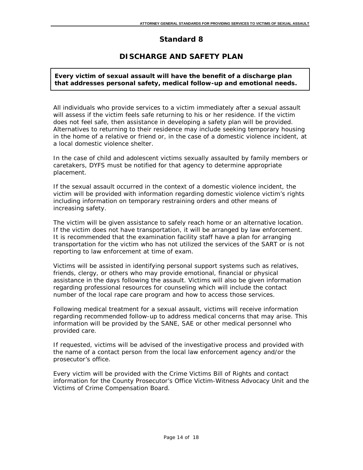## **DISCHARGE AND SAFETY PLAN**

#### **Every victim of sexual assault will have the benefit of a discharge plan that addresses personal safety, medical follow-up and emotional needs.**

All individuals who provide services to a victim immediately after a sexual assault will assess if the victim feels safe returning to his or her residence. If the victim does not feel safe, then assistance in developing a safety plan will be provided. Alternatives to returning to their residence may include seeking temporary housing in the home of a relative or friend or, in the case of a domestic violence incident, at a local domestic violence shelter.

In the case of child and adolescent victims sexually assaulted by family members or caretakers, DYFS must be notified for that agency to determine appropriate placement.

If the sexual assault occurred in the context of a domestic violence incident, the victim will be provided with information regarding domestic violence victim's rights including information on temporary restraining orders and other means of increasing safety.

The victim will be given assistance to safely reach home or an alternative location. If the victim does not have transportation, it will be arranged by law enforcement. It is recommended that the examination facility staff have a plan for arranging transportation for the victim who has not utilized the services of the SART or is not reporting to law enforcement at time of exam.

Victims will be assisted in identifying personal support systems such as relatives, friends, clergy, or others who may provide emotional, financial or physical assistance in the days following the assault. Victims will also be given information regarding professional resources for counseling which will include the contact number of the local rape care program and how to access those services.

Following medical treatment for a sexual assault, victims will receive information regarding recommended follow-up to address medical concerns that may arise. This information will be provided by the SANE, SAE or other medical personnel who provided care.

If requested, victims will be advised of the investigative process and provided with the name of a contact person from the local law enforcement agency and/or the prosecutor's office.

Every victim will be provided with the Crime Victims Bill of Rights and contact information for the County Prosecutor's Office Victim-Witness Advocacy Unit and the Victims of Crime Compensation Board.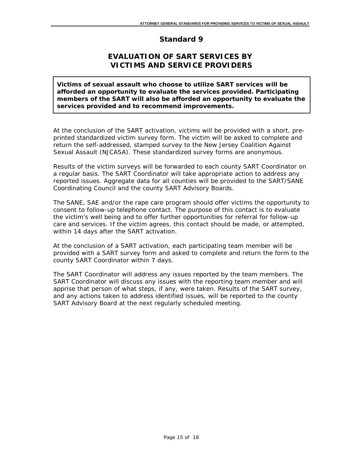## **EVALUATION OF SART SERVICES BY VICTIMS AND SERVICE PROVIDERS**

**Victims of sexual assault who choose to utilize SART services will be afforded an opportunity to evaluate the services provided. Participating members of the SART will also be afforded an opportunity to evaluate the services provided and to recommend improvements.**

At the conclusion of the SART activation, victims will be provided with a short, preprinted standardized victim survey form. The victim will be asked to complete and return the self-addressed, stamped survey to the New Jersey Coalition Against Sexual Assault (NJCASA). These standardized survey forms are anonymous.

Results of the victim surveys will be forwarded to each county SART Coordinator on a regular basis. The SART Coordinator will take appropriate action to address any reported issues. Aggregate data for all counties will be provided to the SART/SANE Coordinating Council and the county SART Advisory Boards.

The SANE, SAE and/or the rape care program should offer victims the opportunity to consent to follow-up telephone contact. The purpose of this contact is to evaluate the victim's well being and to offer further opportunities for referral for follow-up care and services. If the victim agrees, this contact should be made, or attempted, within 14 days after the SART activation.

At the conclusion of a SART activation, each participating team member will be provided with a SART survey form and asked to complete and return the form to the county SART Coordinator within 7 days.

The SART Coordinator will address any issues reported by the team members. The SART Coordinator will discuss any issues with the reporting team member and will apprise that person of what steps, if any, were taken. Results of the SART survey, and any actions taken to address identified issues, will be reported to the county SART Advisory Board at the next regularly scheduled meeting.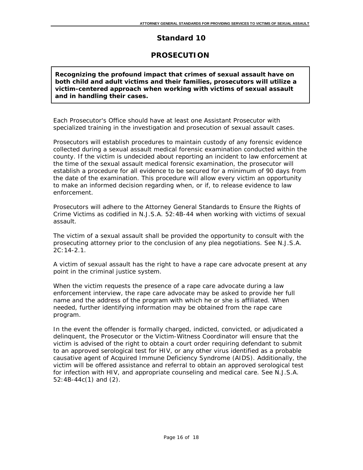### **PROSECUTION**

**Recognizing the profound impact that crimes of sexual assault have on both child and adult victims and their families, prosecutors will utilize a victim-centered approach when working with victims of sexual assault and in handling their cases.**

Each Prosecutor's Office should have at least one Assistant Prosecutor with specialized training in the investigation and prosecution of sexual assault cases.

Prosecutors will establish procedures to maintain custody of any forensic evidence collected during a sexual assault medical forensic examination conducted within the county. If the victim is undecided about reporting an incident to law enforcement at the time of the sexual assault medical forensic examination, the prosecutor will establish a procedure for all evidence to be secured for a minimum of 90 days from the date of the examination. This procedure will allow every victim an opportunity to make an informed decision regarding when, or if, to release evidence to law enforcement.

Prosecutors will adhere to the *Attorney General Standards to Ensure the Rights of Crime Victims* as codified in N.J.S.A. 52:4B-44 when working with victims of sexual assault.

The victim of a sexual assault shall be provided the opportunity to consult with the prosecuting attorney prior to the conclusion of any plea negotiations. See N.J.S.A. 2C:14-2.1.

A victim of sexual assault has the right to have a rape care advocate present at any point in the criminal justice system.

When the victim requests the presence of a rape care advocate during a law enforcement interview, the rape care advocate may be asked to provide her full name and the address of the program with which he or she is affiliated. When needed, further identifying information may be obtained from the rape care program.

In the event the offender is formally charged, indicted, convicted, or adjudicated a delinquent, the Prosecutor or the Victim-Witness Coordinator will ensure that the victim is advised of the right to obtain a court order requiring defendant to submit to an approved serological test for HIV, or any other virus identified as a probable causative agent of Acquired Immune Deficiency Syndrome (AIDS). Additionally, the victim will be offered assistance and referral to obtain an approved serological test for infection with HIV, and appropriate counseling and medical care. See N.J.S.A. 52:4B-44c(1) and (2).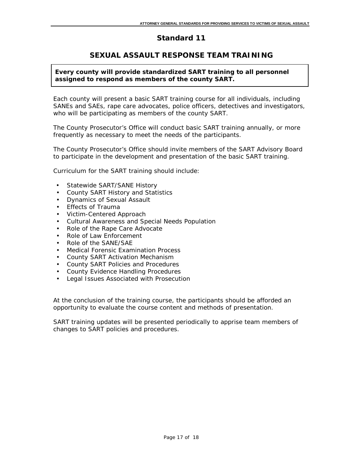#### **SEXUAL ASSAULT RESPONSE TEAM TRAINING**

#### **Every county will provide standardized SART training to all personnel assigned to respond as members of the county SART.**

Each county will present a basic SART training course for all individuals, including SANEs and SAEs, rape care advocates, police officers, detectives and investigators, who will be participating as members of the county SART.

The County Prosecutor's Office will conduct basic SART training annually, or more frequently as necessary to meet the needs of the participants.

The County Prosecutor's Office should invite members of the SART Advisory Board to participate in the development and presentation of the basic SART training.

Curriculum for the SART training should include:

- Statewide SART/SANE History
- County SART History and Statistics
- Dynamics of Sexual Assault
- Effects of Trauma
- Victim-Centered Approach
- Cultural Awareness and Special Needs Population
- Role of the Rape Care Advocate
- Role of Law Enforcement
- Role of the SANE/SAE
- Medical Forensic Examination Process
- County SART Activation Mechanism
- County SART Policies and Procedures
- County Evidence Handling Procedures
- Legal Issues Associated with Prosecution

At the conclusion of the training course, the participants should be afforded an opportunity to evaluate the course content and methods of presentation.

SART training updates will be presented periodically to apprise team members of changes to SART policies and procedures.